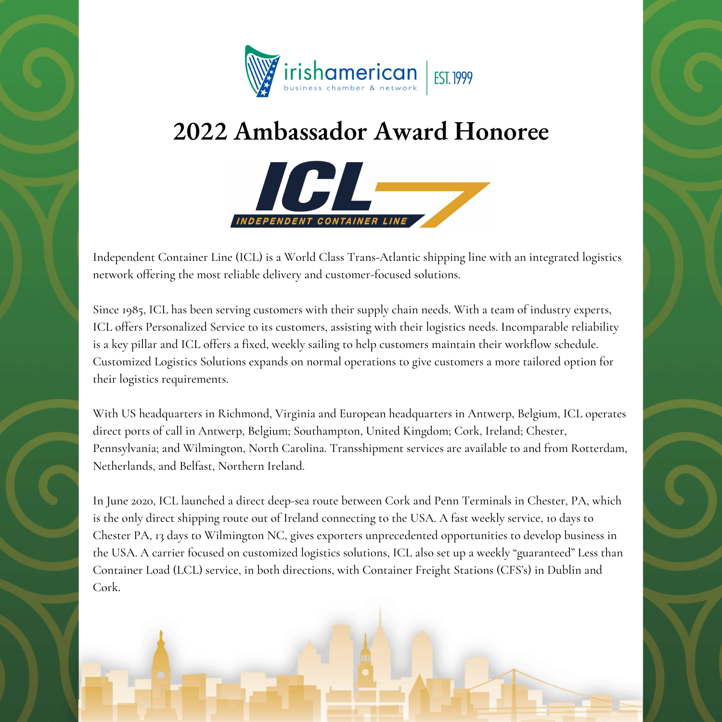

## **2022 Ambassador Award Honoree**



Independent Container Line (ICL) is a World Class Trans-Atlantic shipping line with an integrated logistics network offering the most reliable delivery and customer-focused solutions.

Since 1985, ICL has been serving customers with their supply chain needs. With a team of industry experts, ICL offers Personalized Service to its customers, assisting with their logistics needs. Incomparable reliability is a key pillar and ICL offers a fixed, weekly sailing to help customers maintain their workflow schedule. Customized Logistics Solutions expands on normal operations to give customers a more tailored option for their logistics requirements.

With US headquarters in Richmond, Virginia and European headquarters in Antwerp, Belgium, ICL operates direct ports of call in Antwerp, Belgium; Southampton, United Kingdom; Cork, Ireland; Chester, Pennsylvania; and Wilmington, North Carolina. Transshipment services are available to and from Rotterdam, Netherlands, and Belfast, Northern Ireland.

In June 2020, ICL launched a direct deep-sea route between Cork and Penn Terminals in Chester, PA, which is the only direct shipping route out of Ireland connecting to the USA. A fast weekly service, 10 days to Chester PA, 13 days to Wilmington NC, gives exporters unprecedented opportunities to develop business in the USA. A carrier focused on customized logistics solutions, ICL also set up a weekly "guaranteed" Less than Container Load (LCL) service, in both directions, with Container Freight Stations (CFS's) in Dublin and Cork.